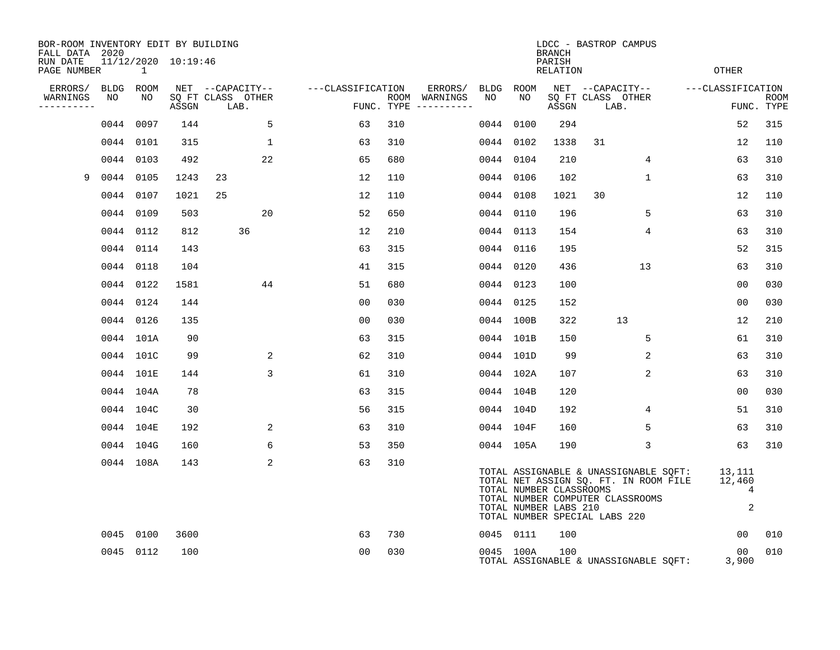| BOR-ROOM INVENTORY EDIT BY BUILDING<br>FALL DATA 2020 |                      |              |                     |    |                           |                |                              |                                      |           |           | <b>BRANCH</b>                                    |                               | LDCC - BASTROP CAMPUS                                                                                              |                          |                           |
|-------------------------------------------------------|----------------------|--------------|---------------------|----|---------------------------|----------------|------------------------------|--------------------------------------|-----------|-----------|--------------------------------------------------|-------------------------------|--------------------------------------------------------------------------------------------------------------------|--------------------------|---------------------------|
| RUN DATE<br>PAGE NUMBER                               |                      | $\mathbf{1}$ | 11/12/2020 10:19:46 |    |                           |                |                              |                                      |           |           | PARISH<br><b>RELATION</b>                        |                               |                                                                                                                    | OTHER                    |                           |
|                                                       | ERRORS/<br>BLDG ROOM |              |                     |    | NET --CAPACITY--          |                | ---CLASSIFICATION<br>ERRORS/ |                                      |           | BLDG ROOM |                                                  |                               | NET --CAPACITY--                                                                                                   | ---CLASSIFICATION        |                           |
| WARNINGS<br>----------                                | NO                   | NO           | ASSGN               |    | SQ FT CLASS OTHER<br>LAB. |                |                              | ROOM WARNINGS<br>FUNC. TYPE $------$ | NO        | NO        | ASSGN                                            | LAB.                          | SQ FT CLASS OTHER                                                                                                  |                          | <b>ROOM</b><br>FUNC. TYPE |
|                                                       | 0044                 | 0097         | 144                 |    | 5                         | 63             | 310                          |                                      | 0044      | 0100      | 294                                              |                               |                                                                                                                    | 52                       | 315                       |
|                                                       | 0044                 | 0101         | 315                 |    | $\mathbf{1}$              | 63             | 310                          |                                      |           | 0044 0102 | 1338                                             | 31                            |                                                                                                                    | 12                       | 110                       |
|                                                       | 0044                 | 0103         | 492                 |    | 22                        | 65             | 680                          |                                      |           | 0044 0104 | 210                                              |                               | 4                                                                                                                  | 63                       | 310                       |
| 9                                                     | 0044                 | 0105         | 1243                | 23 |                           | 12             | 110                          |                                      |           | 0044 0106 | 102                                              |                               | $\mathbf{1}$                                                                                                       | 63                       | 310                       |
|                                                       |                      | 0044 0107    | 1021                | 25 |                           | 12             | 110                          |                                      |           | 0044 0108 | 1021                                             | 30                            |                                                                                                                    | 12                       | 110                       |
|                                                       |                      | 0044 0109    | 503                 |    | 20                        | 52             | 650                          |                                      | 0044 0110 |           | 196                                              |                               | 5                                                                                                                  | 63                       | 310                       |
|                                                       |                      | 0044 0112    | 812                 |    | 36                        | 12             | 210                          |                                      |           | 0044 0113 | 154                                              |                               | 4                                                                                                                  | 63                       | 310                       |
|                                                       |                      | 0044 0114    | 143                 |    |                           | 63             | 315                          |                                      |           | 0044 0116 | 195                                              |                               |                                                                                                                    | 52                       | 315                       |
|                                                       |                      | 0044 0118    | 104                 |    |                           | 41             | 315                          |                                      |           | 0044 0120 | 436                                              |                               | 13 <sup>°</sup>                                                                                                    | 63                       | 310                       |
|                                                       |                      | 0044 0122    | 1581                |    | 44                        | 51             | 680                          |                                      |           | 0044 0123 | 100                                              |                               |                                                                                                                    | 00                       | 030                       |
|                                                       |                      | 0044 0124    | 144                 |    |                           | 0 <sub>0</sub> | 030                          |                                      |           | 0044 0125 | 152                                              |                               |                                                                                                                    | 0 <sub>0</sub>           | 030                       |
|                                                       |                      | 0044 0126    | 135                 |    |                           | 0 <sub>0</sub> | 0.30                         |                                      |           | 0044 100B | 322                                              |                               | 13                                                                                                                 | 12                       | 210                       |
|                                                       |                      | 0044 101A    | 90                  |    |                           | 63             | 315                          |                                      |           | 0044 101B | 150                                              |                               | 5                                                                                                                  | 61                       | 310                       |
|                                                       |                      | 0044 101C    | 99                  |    | 2                         | 62             | 310                          |                                      |           | 0044 101D | 99                                               |                               | $\overline{2}$                                                                                                     | 63                       | 310                       |
|                                                       |                      | 0044 101E    | 144                 |    | 3                         | 61             | 310                          |                                      |           | 0044 102A | 107                                              |                               | $\overline{2}$                                                                                                     | 63                       | 310                       |
|                                                       |                      | 0044 104A    | 78                  |    |                           | 63             | 315                          |                                      |           | 0044 104B | 120                                              |                               |                                                                                                                    | 0 <sub>0</sub>           | 030                       |
|                                                       |                      | 0044 104C    | 30                  |    |                           | 56             | 315                          |                                      |           | 0044 104D | 192                                              |                               | 4                                                                                                                  | 51                       | 310                       |
|                                                       |                      | 0044 104E    | 192                 |    | 2                         | 63             | 310                          |                                      |           | 0044 104F | 160                                              |                               | 5                                                                                                                  | 63                       | 310                       |
|                                                       |                      | 0044 104G    | 160                 |    | 6                         | 53             | 350                          |                                      |           | 0044 105A | 190                                              |                               | 3                                                                                                                  | 63                       | 310                       |
|                                                       |                      | 0044 108A    | 143                 |    | 2                         | 63             | 310                          |                                      |           |           | TOTAL NUMBER CLASSROOMS<br>TOTAL NUMBER LABS 210 | TOTAL NUMBER SPECIAL LABS 220 | TOTAL ASSIGNABLE & UNASSIGNABLE SQFT:<br>TOTAL NET ASSIGN SQ. FT. IN ROOM FILE<br>TOTAL NUMBER COMPUTER CLASSROOMS | 13,111<br>12,460         | $\overline{4}$<br>2       |
|                                                       |                      | 0045 0100    | 3600                |    |                           | 63             | 730                          |                                      |           | 0045 0111 | 100                                              |                               |                                                                                                                    | 00                       | 010                       |
|                                                       |                      | 0045 0112    | 100                 |    |                           | 0 <sub>0</sub> | 030                          |                                      |           | 0045 100A | 100                                              |                               | TOTAL ASSIGNABLE & UNASSIGNABLE SQFT:                                                                              | 00 <sub>o</sub><br>3,900 | 010                       |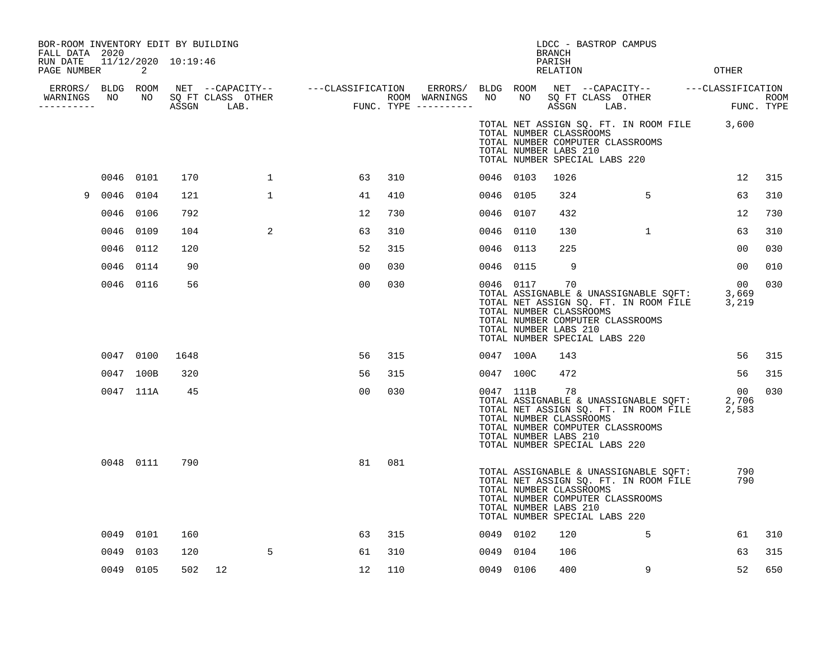| BOR-ROOM INVENTORY EDIT BY BUILDING<br>FALL DATA 2020<br>RUN DATE 11/12/2020 10:19:46<br>PAGE NUMBER |      | 2         |      |              |                |     |           |                                                               | <b>BRANCH</b><br>PARISH<br><b>RELATION</b> |                               | LDCC - BASTROP CAMPUS                                                                                              | <b>OTHER</b>                                                                                     |             |
|------------------------------------------------------------------------------------------------------|------|-----------|------|--------------|----------------|-----|-----------|---------------------------------------------------------------|--------------------------------------------|-------------------------------|--------------------------------------------------------------------------------------------------------------------|--------------------------------------------------------------------------------------------------|-------------|
| WARNINGS NO<br>----------                                                                            |      |           |      |              |                |     |           |                                                               |                                            |                               |                                                                                                                    | FUNC. TYPE                                                                                       | <b>ROOM</b> |
|                                                                                                      |      |           |      |              |                |     |           | TOTAL NUMBER CLASSROOMS<br>TOTAL NUMBER LABS 210              |                                            | TOTAL NUMBER SPECIAL LABS 220 | TOTAL NUMBER COMPUTER CLASSROOMS                                                                                   | TOTAL NET ASSIGN SQ. FT. IN ROOM FILE 3,600                                                      |             |
|                                                                                                      |      | 0046 0101 | 170  | $\mathbf{1}$ | 63             | 310 | 0046 0103 |                                                               | 1026                                       |                               |                                                                                                                    | 12                                                                                               | 315         |
| 9                                                                                                    | 0046 | 0104      | 121  | $\mathbf{1}$ | 41             | 410 | 0046 0105 |                                                               | 324                                        |                               | 5                                                                                                                  | 63                                                                                               | 310         |
|                                                                                                      |      | 0046 0106 | 792  |              | 12             | 730 | 0046 0107 |                                                               | 432                                        |                               |                                                                                                                    | 12                                                                                               | 730         |
|                                                                                                      |      | 0046 0109 | 104  | 2            | 63             | 310 | 0046 0110 |                                                               | 130                                        |                               | $\mathbf{1}$                                                                                                       | 63                                                                                               | 310         |
|                                                                                                      |      | 0046 0112 | 120  |              | 52             | 315 | 0046 0113 |                                                               | 225                                        |                               |                                                                                                                    | 00                                                                                               | 030         |
|                                                                                                      |      | 0046 0114 | 90   |              | 0 <sub>0</sub> | 030 | 0046 0115 |                                                               | 9                                          |                               |                                                                                                                    | 0 <sub>0</sub>                                                                                   | 010         |
|                                                                                                      |      | 0046 0116 | 56   |              | 0 <sub>0</sub> | 030 |           | 0046 0117<br>TOTAL NUMBER CLASSROOMS<br>TOTAL NUMBER LABS 210 | 70                                         | TOTAL NUMBER SPECIAL LABS 220 | TOTAL NUMBER COMPUTER CLASSROOMS                                                                                   | 00<br>TOTAL ASSIGNABLE & UNASSIGNABLE SOFT: 3,669<br>TOTAL NET ASSIGN SQ. FT. IN ROOM FILE 3,219 | 030         |
|                                                                                                      |      | 0047 0100 | 1648 |              | 56             | 315 |           | 0047 100A                                                     | 143                                        |                               |                                                                                                                    | 56                                                                                               | 315         |
|                                                                                                      |      | 0047 100B | 320  |              | 56             | 315 | 0047 100C |                                                               | 472                                        |                               |                                                                                                                    | 56                                                                                               | 315         |
|                                                                                                      |      | 0047 111A | 45   |              | 00             | 030 |           | 0047 111B<br>TOTAL NUMBER CLASSROOMS<br>TOTAL NUMBER LABS 210 | 78                                         | TOTAL NUMBER SPECIAL LABS 220 | TOTAL NUMBER COMPUTER CLASSROOMS                                                                                   | 00<br>TOTAL ASSIGNABLE & UNASSIGNABLE SQFT: 2,706<br>TOTAL NET ASSIGN SQ. FT. IN ROOM FILE 2,583 | 030         |
|                                                                                                      |      | 0048 0111 | 790  |              | 81             | 081 |           | TOTAL NUMBER CLASSROOMS<br>TOTAL NUMBER LABS 210              |                                            | TOTAL NUMBER SPECIAL LABS 220 | TOTAL ASSIGNABLE & UNASSIGNABLE SQFT:<br>TOTAL NET ASSIGN SQ. FT. IN ROOM FILE<br>TOTAL NUMBER COMPUTER CLASSROOMS | 790<br>790                                                                                       |             |
|                                                                                                      |      | 0049 0101 | 160  |              | 63             | 315 | 0049 0102 |                                                               | 120                                        |                               | 5                                                                                                                  | 61                                                                                               | 310         |
|                                                                                                      | 0049 | 0103      | 120  | 5            | 61             | 310 | 0049 0104 |                                                               | 106                                        |                               |                                                                                                                    | 63                                                                                               | 315         |
|                                                                                                      |      | 0049 0105 | 502  | 12           | 12             | 110 | 0049 0106 |                                                               | 400                                        |                               | 9                                                                                                                  | 52                                                                                               | 650         |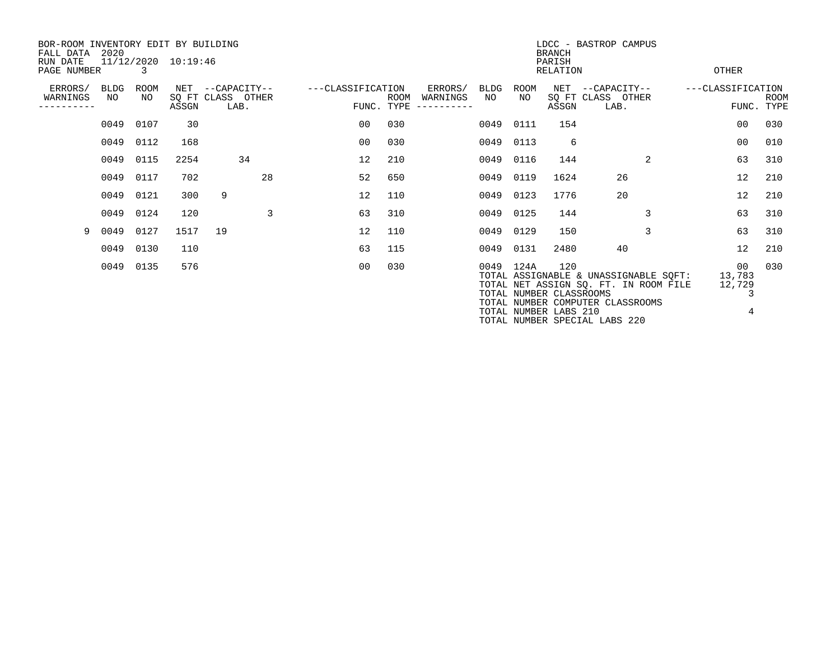| BOR-ROOM INVENTORY EDIT BY BUILDING<br>FALL DATA<br>RUN DATE | 2020              |                   | 11/12/2020 10:19:46 |    |                                               |                   | LDCC - BASTROP CAMPUS<br><b>BRANCH</b><br>PARISH<br><b>OTHER</b> |                                           |            |                   |                                                         |                                                                                                                                                     |  |                                  |             |  |  |
|--------------------------------------------------------------|-------------------|-------------------|---------------------|----|-----------------------------------------------|-------------------|------------------------------------------------------------------|-------------------------------------------|------------|-------------------|---------------------------------------------------------|-----------------------------------------------------------------------------------------------------------------------------------------------------|--|----------------------------------|-------------|--|--|
| PAGE NUMBER<br>$\mathcal{R}$                                 |                   |                   |                     |    |                                               |                   |                                                                  |                                           |            |                   |                                                         | <b>RELATION</b>                                                                                                                                     |  |                                  |             |  |  |
| ERRORS/<br>WARNINGS<br>---------                             | <b>BLDG</b><br>NO | <b>ROOM</b><br>NO | ASSGN               |    | NET --CAPACITY--<br>SQ FT CLASS OTHER<br>LAB. | ---CLASSIFICATION | ROOM<br>FUNC. TYPE                                               | ERRORS/<br>WARNINGS<br>$-- - - - - - - -$ | BLDG<br>NO | <b>ROOM</b><br>NO | $\operatorname{NET}$<br>ASSGN                           | --CAPACITY--<br>SQ FT CLASS OTHER<br>LAB.                                                                                                           |  | ---CLASSIFICATION<br>FUNC. TYPE  | <b>ROOM</b> |  |  |
|                                                              | 0049              | 0107              | 30                  |    |                                               | 00                | 030                                                              |                                           | 0049       | 0111              | 154                                                     |                                                                                                                                                     |  | 00                               | 030         |  |  |
|                                                              |                   | 0049 0112         | 168                 |    |                                               | 00                | 030                                                              |                                           |            | 0049 0113         | 6                                                       |                                                                                                                                                     |  | 00                               | 010         |  |  |
|                                                              |                   | 0049 0115         | 2254                |    | 34                                            | 12                | 210                                                              |                                           | 0049       | 0116              | 144                                                     | $\overline{a}$                                                                                                                                      |  | 63                               | 310         |  |  |
|                                                              | 0049              | 0117              | 702                 |    | 28                                            | 52                | 650                                                              |                                           | 0049       | 0119              | 1624                                                    | 26                                                                                                                                                  |  | 12                               | 210         |  |  |
|                                                              |                   | 0049 0121         | 300                 | 9  |                                               | 12                | 110                                                              |                                           |            | 0049 0123         | 1776                                                    | 20                                                                                                                                                  |  | 12                               | 210         |  |  |
|                                                              | 0049              | 0124              | 120                 |    | 3                                             | 63                | 310                                                              |                                           | 0049       | 0125              | 144                                                     | 3                                                                                                                                                   |  | 63                               | 310         |  |  |
| 9                                                            | 0049              | 0127              | 1517                | 19 |                                               | 12                | 110                                                              |                                           | 0049       | 0129              | 150                                                     | 3                                                                                                                                                   |  | 63                               | 310         |  |  |
|                                                              | 0049              | 0130              | 110                 |    |                                               | 63                | 115                                                              |                                           | 0049       | 0131              | 2480                                                    | 40                                                                                                                                                  |  | $12 \overline{ }$                | 210         |  |  |
|                                                              | 0049              | 0135              | 576                 |    |                                               | 0 <sub>0</sub>    | 030                                                              |                                           |            | 0049 124A         | 120<br>TOTAL NUMBER CLASSROOMS<br>TOTAL NUMBER LABS 210 | TOTAL ASSIGNABLE & UNASSIGNABLE SOFT:<br>TOTAL NET ASSIGN SQ. FT. IN ROOM FILE<br>TOTAL NUMBER COMPUTER CLASSROOMS<br>TOTAL NUMBER SPECIAL LABS 220 |  | 00<br>13,783<br>12,729<br>3<br>4 | 030         |  |  |